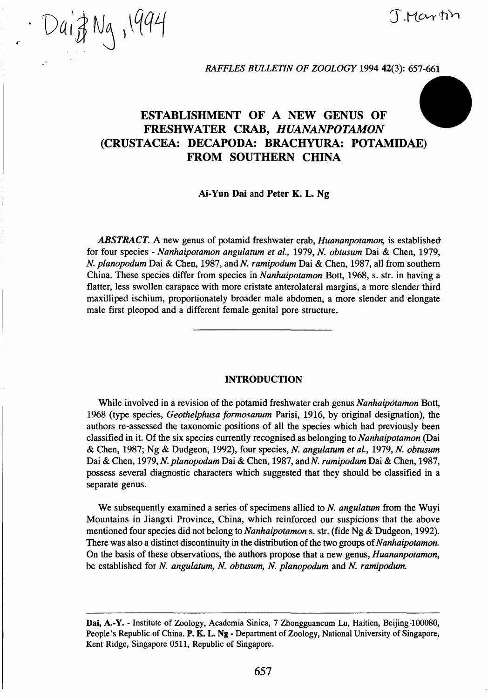*Vdlp* **QH 3^.K^^^^** 

*RAFFLES BULLETIN OF ZOOLOGY* 1994 42(3): 657-661

# **ESTABLISHMENT OF A NEW GENUS OF FRESHWATER CRAB,** *HUANANPOTAMON*  **(CRUSTACEA: DECAPODA: BRACHYURA: POTAMIDAE) FROM SOUTHERN CHINA**

#### **Ai-Yun Dai** and **Peter K. L. Ng**

*ABSTRACT. A* new genus of potamid freshwater crab, *Huananpotamon,* is established for four species - *Nanhaipotamon angulatum et al,* 1979, *N. obtusum* Dai & Chen, 1979, A^. *planopodum* Dai & Chen, 1987, and *N. ramipodum* Dai & Chen, 1987, all from southern China. These species differ from species in *Nanhaipotamon* Bott, 1968, s. str. in having a flatter, less swollen carapace with more cristate anterolateral margins, a more slender third maxilliped ischium, proportionately broader male abdomen, a more slender and elongate male first pleopod and a different female genital pore structure.

### **INTRODUCTION**

While involved in a revision of the potamid freshwater crab genus *Nanhaipotamon* Bott, 1968 (type species, *Geothelphusa formosanum* Parisi, 1916, by original designation), the authors re-assessed the taxonomic positions of all the species which had previously been classified in it. Of the six species currently recognised as belonging to *Nanhaipotamon* (Dai & Chen, 1987; Ng & Dudgeon, 1992), four species, *N. angulatum et al,* 1979, *N. obtusum*  Dai & Chen, 1979, N. planopodum Dai & Chen, 1987, and N. ramipodum Dai & Chen, 1987, possess several diagnostic characters which suggested that they should be classified in a separate genus.

We subsequently examined a series of specimens allied to *N. angulatum* from the Wuyi Mountains in Jiangxi Province, China, which reinforced our suspicions that the above mentioned four species did not belong to Nanhaipotamon s. str. (fide Ng & Dudgeon, 1992). There was also a distinct discontinuity in the distribution of the two groups *of Nanhaipotamon.*  On the basis of these observations, the authors propose that a new genus, *Huananpotamon,*  be established for *N. angulatum, N. obtusum, N. planopodum* and *N. ramipodum.* 

**Dai,** A.-Y. - Institute of Zoology, Academia Sinica, 7 Zhongguancum Lu, Haitien, Beijing 400080, People's Republic of China. P. K. L. Ng - Department of Zoology, National University of Singapore, Kent Ridge, Singapore 0511, Republic of Singapore.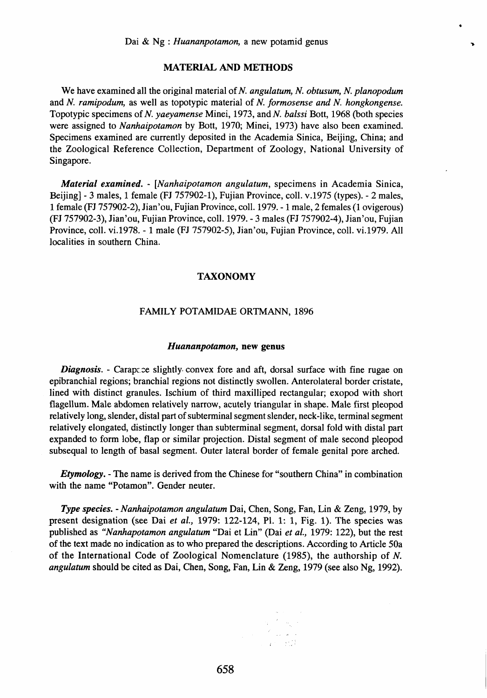Þ

#### **MATERIAL AND METHODS**

We have examined all the original material of N. angulatum, N. obtusum, N. planopodum and *N. ramipodum,* as well as topotypic material of *N. formosense and N. hongkongense.*  Topotypic specimens of N. yaeyamense Minei, 1973, and N. balssi Bott, 1968 (both species were assigned to *Nanhaipotamon* by Bott, 1970; Minei, 1973) have also been examined. Specimens examined are currently deposited in the Academia Sinica, Beijing, China; and the Zoological Reference Collection, Department of Zoology, National University of Singapore.

*Material examined. - [Nanhaipotamon angulatum,* specimens in Academia Sinica, Beijing] - 3 males, 1 female (FJ 757902-1), Fujian Province, coll. v.1975 (types). - 2 males, 1 female (FJ 757902-2), Jian'ou, Fujian Province, coll. 1979. -1 male, 2 females (1 ovigerous) (FJ 757902-3), Jian'ou, Fujian Province, coll. 1979. - 3 males (FJ 757902-4), Jian'ou, Fujian Province, coll. vi.l978. - 1 male (FJ 757902-5), Jian'ou, Fujian Province, coll. vi.l979. All localities in southern China.

#### **TAXONOMY**

#### FAMILY POTAMIDAE ORTMANN, 1896

#### *Huananpotamon,* **new genus**

*Diagnosis.* - Carapace slightly convex fore and aft, dorsal surface with fine rugae on epibranchial regions; branchial regions not distinctly swollen. Anterolateral border cristate, lined with distinct granules. Ischium of third maxilliped rectangular; exopod with short flagellum. Male abdomen relatively narrow, acutely triangular in shape. Male first pleopod relatively long, slender, distal part of subterminal segment slender, neck-like, terminal segment relatively elongated, distinctly longer than subterminal segment, dorsal fold with distal part expanded to form lobe, flap or similar projection. Distal segment of male second pleopod subsequal to length of basal segment. Outer lateral border of female genital pore arched.

*Etymology.* - The name is derived from the Chinese for "southern China" in combination with the name "Potamon". Gender neuter.

*Type species. - Nanhaipotamon angulatum* Dai, Chen, Song, Fan, Lin & Zeng, 1979, by present designation (see Dai *et al,* 1979: 122-124, PI. 1: 1, Fig. 1). The species was published as *"Nanhapotamon angulatum* "Dai et Lin" (Dai *et al,* 1979: 122), but the rest of the text made no indication as to who prepared the descriptions. According to Article 50a of the International Code of Zoological Nomenclature (1985), the authorship of *N. angulatum* should be cited as Dai, Chen, Song, Fan, Lin & Zeng, 1979 (see also Ng, 1992).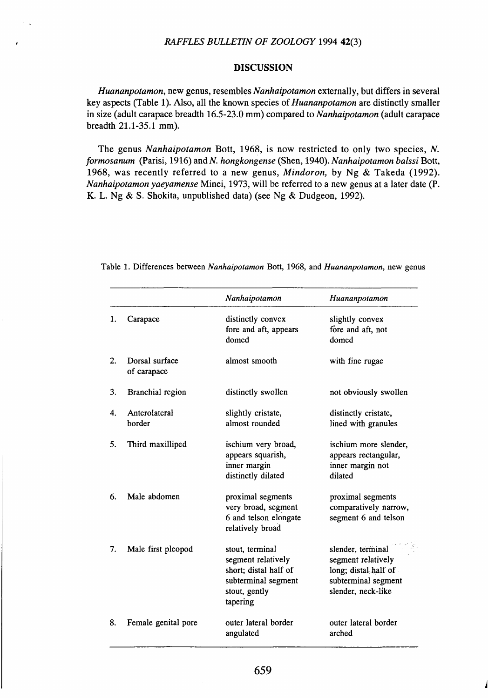## *RAFFLES BULLETIN OF ZOOLOGY* 1994 42(3)

## **DISCUSSION**

*Huananpotamon,* new genus, resembles *Nanhaipotamon* externally, but differs in several key aspects (Table 1). Also, all the known species *oi Huananpotamon* are distinctly smaller in size (adult carapace breadth 16.5-23.0 mm) compared to *Nanhaipotamon* (adult carapace breadth 21.1-35.1 mm).

The genus *Nanhaipotamon* Bott, 1968, is now restricted to only two species, *N. formosanum* (Parisi, 1916) and A^. *hongkongense* (Shen, 1940). *Nanhaipotamon balssi* Bott, 1968, was recently referred to a new genus, *Mindoron,* by Ng & Takeda (1992). *Nanhaipotamon yaeyamense* Minei, 1973, will be referred to a new genus at a later date (P. K. L. Ng & S. Shokita, unpublished data) (see Ng & Dudgeon, 1992).

|                  |                               | Nanhaipotamon                                                                                                      | Huananpotamon                                                                                                |
|------------------|-------------------------------|--------------------------------------------------------------------------------------------------------------------|--------------------------------------------------------------------------------------------------------------|
| 1.               | Carapace                      | distinctly convex<br>fore and aft, appears<br>domed                                                                | slightly convex<br>fore and aft, not<br>domed                                                                |
| 2.               | Dorsal surface<br>of carapace | almost smooth                                                                                                      | with fine rugae                                                                                              |
| 3.               | Branchial region              | distinctly swollen                                                                                                 | not obviously swollen                                                                                        |
| $\overline{4}$ . | Anterolateral<br>border       | slightly cristate,<br>almost rounded                                                                               | distinctly cristate,<br>lined with granules                                                                  |
| 5.               | Third maxilliped              | ischium very broad,<br>appears squarish,<br>inner margin<br>distinctly dilated                                     | ischium more slender,<br>appears rectangular,<br>inner margin not<br>dilated                                 |
| 6.               | Male abdomen                  | proximal segments<br>very broad, segment<br>6 and telson elongate<br>relatively broad                              | proximal segments<br>comparatively narrow,<br>segment 6 and telson                                           |
| 7.               | Male first pleopod            | stout, terminal<br>segment relatively<br>short; distal half of<br>subterminal segment<br>stout, gently<br>tapering | slender, terminal<br>segment relatively<br>long; distal half of<br>subterminal segment<br>slender, neck-like |
| 8.               | Female genital pore           | outer lateral border<br>angulated                                                                                  | outer lateral border<br>arched                                                                               |

Table 1. Differences between *Nanhaipotamon* Bott, 1968, and *Huananpotamon,* new genus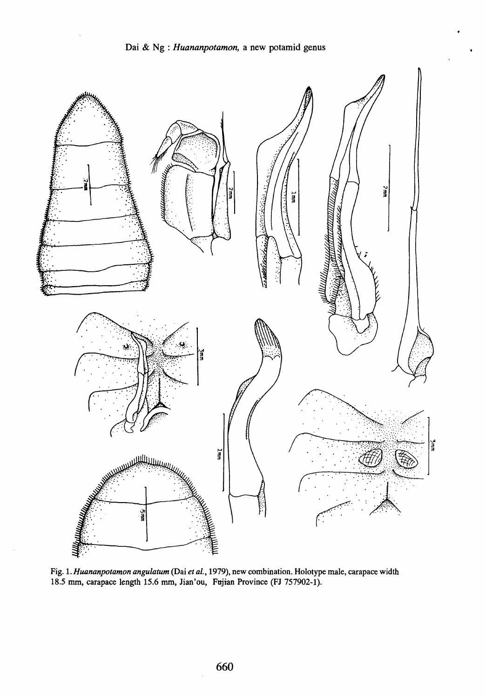

Fig. *\. Huananpotamon angulatum* (Dai *et ai,* 1979), new combination. Holotype male, carapace width 18.5 mm, carapace length 15.6 mm, Jian'ou, Fujian Province (FJ 757902-1).